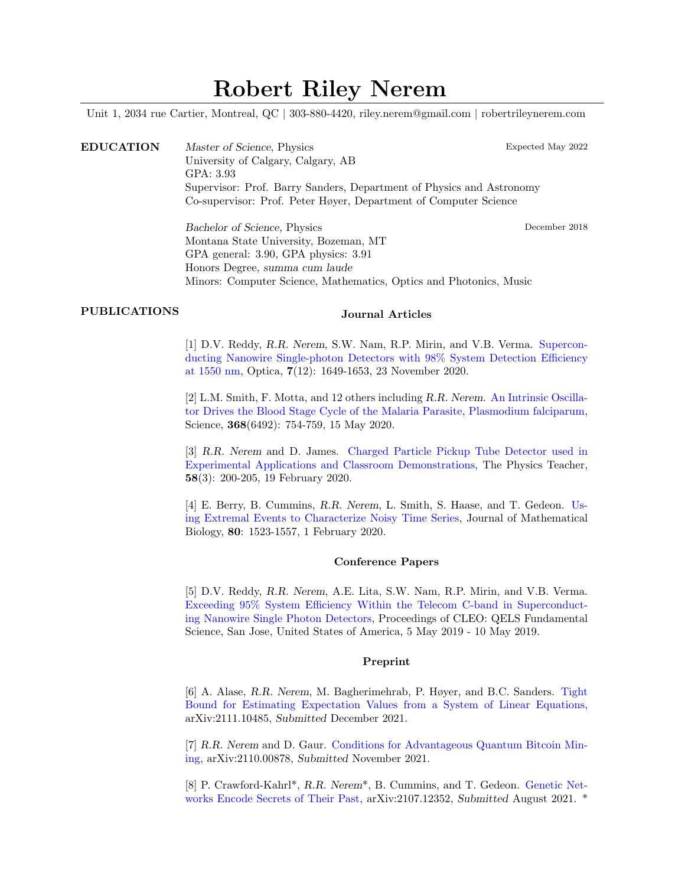# Robert Riley Nerem

Unit 1, 2034 rue Cartier, Montreal, QC | 303-880-4420, riley.nerem@gmail.com | robertrileynerem.com

EDUCATION Master of Science, Physics Expected May 2022 University of Calgary, Calgary, AB GPA: 3.93 Supervisor: Prof. Barry Sanders, Department of Physics and Astronomy Co-supervisor: Prof. Peter Høyer, Department of Computer Science

> Bachelor of Science, Physics December 2018 Montana State University, Bozeman, MT GPA general: 3.90, GPA physics: 3.91 Honors Degree, summa cum laude Minors: Computer Science, Mathematics, Optics and Photonics, Music

### PUBLICATIONS Journal Articles

[1] D.V. Reddy, R.R. Nerem, S.W. Nam, R.P. Mirin, and V.B. Verma. [Supercon](https://doi.org/10.1364/OPTICA.400751)[ducting Nanowire Single-photon Detectors with 98% System Detection Efficiency](https://doi.org/10.1364/OPTICA.400751) [at 1550 nm,](https://doi.org/10.1364/OPTICA.400751) Optica, 7(12): 1649-1653, 23 November 2020.

[2] L.M. Smith, F. Motta, and 12 others including R.R. Nerem. [An Intrinsic Oscilla](https://doi.org/10.1126/science.aba4357)[tor Drives the Blood Stage Cycle of the Malaria Parasite, Plasmodium falciparum,](https://doi.org/10.1126/science.aba4357) Science, 368(6492): 754-759, 15 May 2020.

[3] R.R. Nerem and D. James. [Charged Particle Pickup Tube Detector used in](https://doi.org/10.1119/1.5145417) [Experimental Applications and Classroom Demonstrations,](https://doi.org/10.1119/1.5145417) The Physics Teacher, 58(3): 200-205, 19 February 2020.

[4] E. Berry, B. Cummins, R.R. Nerem, L. Smith, S. Haase, and T. Gedeon. [Us](https://doi.org/10.1007/s00285-020-01471-4)[ing Extremal Events to Characterize Noisy Time Series,](https://doi.org/10.1007/s00285-020-01471-4) Journal of Mathematical Biology, 80: 1523-1557, 1 February 2020.

#### Conference Papers

[5] D.V. Reddy, R.R. Nerem, A.E. Lita, S.W. Nam, R.P. Mirin, and V.B. Verma. [Exceeding 95% System Efficiency Within the Telecom C-band in Superconduct](https://doi.org/10.1364/CLEO_QELS.2019.FF1A.3)[ing Nanowire Single Photon Detectors,](https://doi.org/10.1364/CLEO_QELS.2019.FF1A.3) Proceedings of CLEO: QELS Fundamental Science, San Jose, United States of America, 5 May 2019 - 10 May 2019.

#### Preprint

[6] A. Alase, R.R. Nerem, M. Bagherimehrab, P. Høyer, and B.C. Sanders. [Tight](https://arxiv.org/abs/2111.10485) [Bound for Estimating Expectation Values from a System of Linear Equations,](https://arxiv.org/abs/2111.10485) arXiv:2111.10485, Submitted December 2021.

[7] R.R. Nerem and D. Gaur. [Conditions for Advantageous Quantum Bitcoin Min](https://arxiv.org/abs/2110.00878)[ing,](https://arxiv.org/abs/2110.00878) arXiv:2110.00878, Submitted November 2021.

[8] P. Crawford-Kahrl\*, R.R. Nerem\*, B. Cummins, and T. Gedeon. [Genetic Net](https://arxiv.org/abs/2107.12352)[works Encode Secrets of Their Past,](https://arxiv.org/abs/2107.12352) arXiv:2107.12352, Submitted August 2021. \*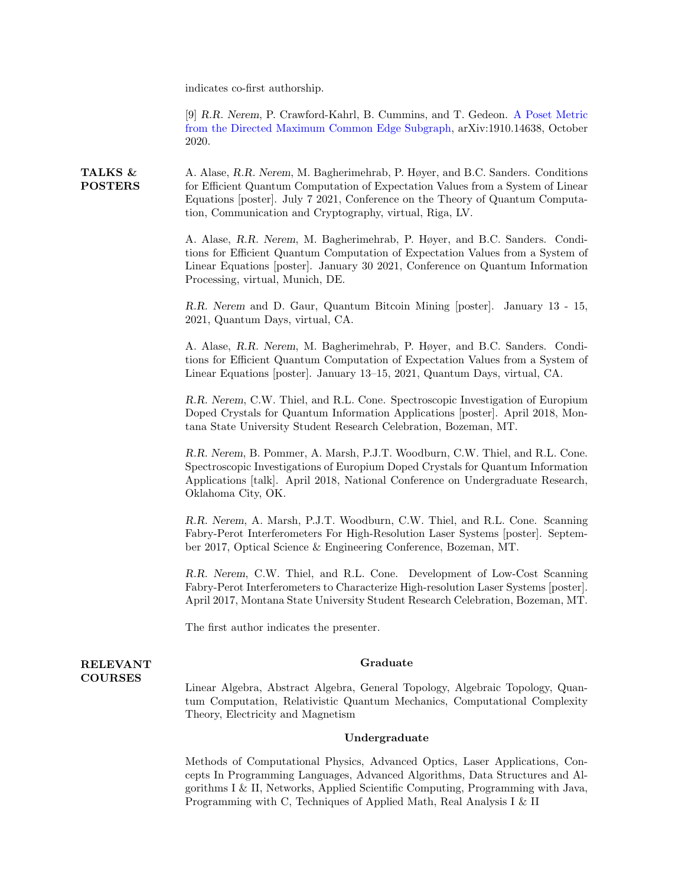indicates co-first authorship.

[9] R.R. Nerem, P. Crawford-Kahrl, B. Cummins, and T. Gedeon. [A Poset Metric](https://arxiv.org/abs/1910.14638) [from the Directed Maximum Common Edge Subgraph,](https://arxiv.org/abs/1910.14638) arXiv:1910.14638, October 2020.

TALKS & POSTERS A. Alase, R.R. Nerem, M. Bagherimehrab, P. Høyer, and B.C. Sanders. Conditions for Efficient Quantum Computation of Expectation Values from a System of Linear Equations [poster]. July 7 2021, Conference on the Theory of Quantum Computation, Communication and Cryptography, virtual, Riga, LV.

> A. Alase, R.R. Nerem, M. Bagherimehrab, P. Høyer, and B.C. Sanders. Conditions for Efficient Quantum Computation of Expectation Values from a System of Linear Equations [poster]. January 30 2021, Conference on Quantum Information Processing, virtual, Munich, DE.

> R.R. Nerem and D. Gaur, Quantum Bitcoin Mining [poster]. January 13 - 15, 2021, Quantum Days, virtual, CA.

> A. Alase, R.R. Nerem, M. Bagherimehrab, P. Høyer, and B.C. Sanders. Conditions for Efficient Quantum Computation of Expectation Values from a System of Linear Equations [poster]. January 13–15, 2021, Quantum Days, virtual, CA.

> R.R. Nerem, C.W. Thiel, and R.L. Cone. Spectroscopic Investigation of Europium Doped Crystals for Quantum Information Applications [poster]. April 2018, Montana State University Student Research Celebration, Bozeman, MT.

> R.R. Nerem, B. Pommer, A. Marsh, P.J.T. Woodburn, C.W. Thiel, and R.L. Cone. Spectroscopic Investigations of Europium Doped Crystals for Quantum Information Applications [talk]. April 2018, National Conference on Undergraduate Research, Oklahoma City, OK.

> R.R. Nerem, A. Marsh, P.J.T. Woodburn, C.W. Thiel, and R.L. Cone. Scanning Fabry-Perot Interferometers For High-Resolution Laser Systems [poster]. September 2017, Optical Science & Engineering Conference, Bozeman, MT.

> R.R. Nerem, C.W. Thiel, and R.L. Cone. Development of Low-Cost Scanning Fabry-Perot Interferometers to Characterize High-resolution Laser Systems [poster]. April 2017, Montana State University Student Research Celebration, Bozeman, MT.

The first author indicates the presenter.

#### RELEVANT COURSES

#### Graduate

Linear Algebra, Abstract Algebra, General Topology, Algebraic Topology, Quantum Computation, Relativistic Quantum Mechanics, Computational Complexity Theory, Electricity and Magnetism

#### Undergraduate

Methods of Computational Physics, Advanced Optics, Laser Applications, Concepts In Programming Languages, Advanced Algorithms, Data Structures and Algorithms I & II, Networks, Applied Scientific Computing, Programming with Java, Programming with C, Techniques of Applied Math, Real Analysis I & II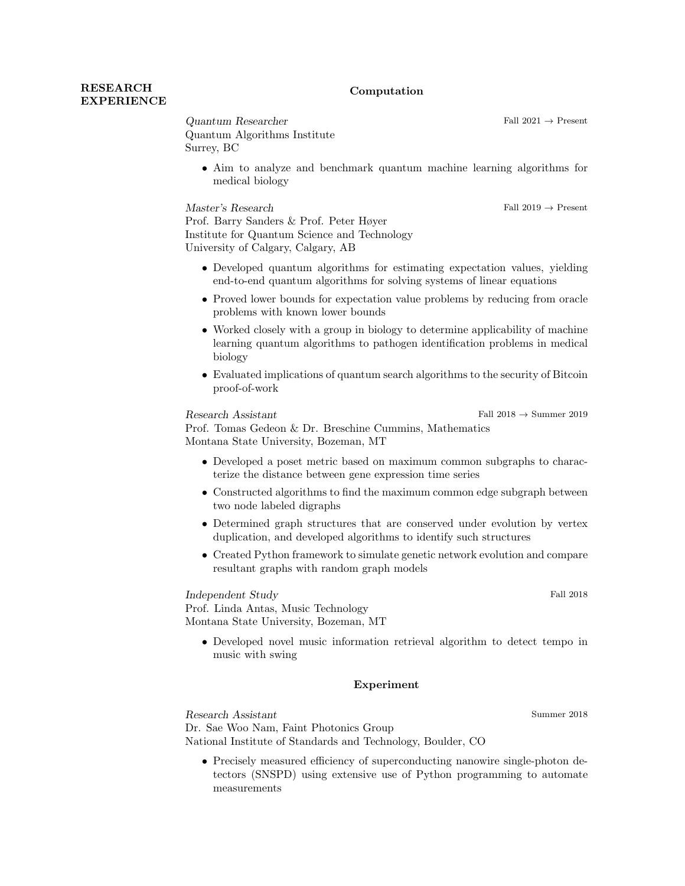#### Computation

## RESEARCH **EXPERIENCE**

 $\begin{aligned} Quantum\ Researcher \end{aligned} \qquad \qquad \text{Fall 2021} \rightarrow \text{Present}$ Quantum Algorithms Institute Surrey, BC

• Aim to analyze and benchmark quantum machine learning algorithms for medical biology

Master's Research Fall 2019 → Present

Prof. Barry Sanders & Prof. Peter Høyer Institute for Quantum Science and Technology University of Calgary, Calgary, AB

- Developed quantum algorithms for estimating expectation values, yielding end-to-end quantum algorithms for solving systems of linear equations
- Proved lower bounds for expectation value problems by reducing from oracle problems with known lower bounds
- Worked closely with a group in biology to determine applicability of machine learning quantum algorithms to pathogen identification problems in medical biology
- Evaluated implications of quantum search algorithms to the security of Bitcoin proof-of-work

 $\textbf{Research Assistant} \qquad \qquad \text{Fall 2018} \rightarrow \text{Summer 2019}$ 

Prof. Tomas Gedeon & Dr. Breschine Cummins, Mathematics Montana State University, Bozeman, MT

- Developed a poset metric based on maximum common subgraphs to characterize the distance between gene expression time series
- Constructed algorithms to find the maximum common edge subgraph between two node labeled digraphs
- Determined graph structures that are conserved under evolution by vertex duplication, and developed algorithms to identify such structures
- Created Python framework to simulate genetic network evolution and compare resultant graphs with random graph models

Independent Study Fall 2018

Prof. Linda Antas, Music Technology Montana State University, Bozeman, MT

• Developed novel music information retrieval algorithm to detect tempo in music with swing

#### Experiment

Research Assistant Summer 2018 Dr. Sae Woo Nam, Faint Photonics Group National Institute of Standards and Technology, Boulder, CO

• Precisely measured efficiency of superconducting nanowire single-photon detectors (SNSPD) using extensive use of Python programming to automate measurements